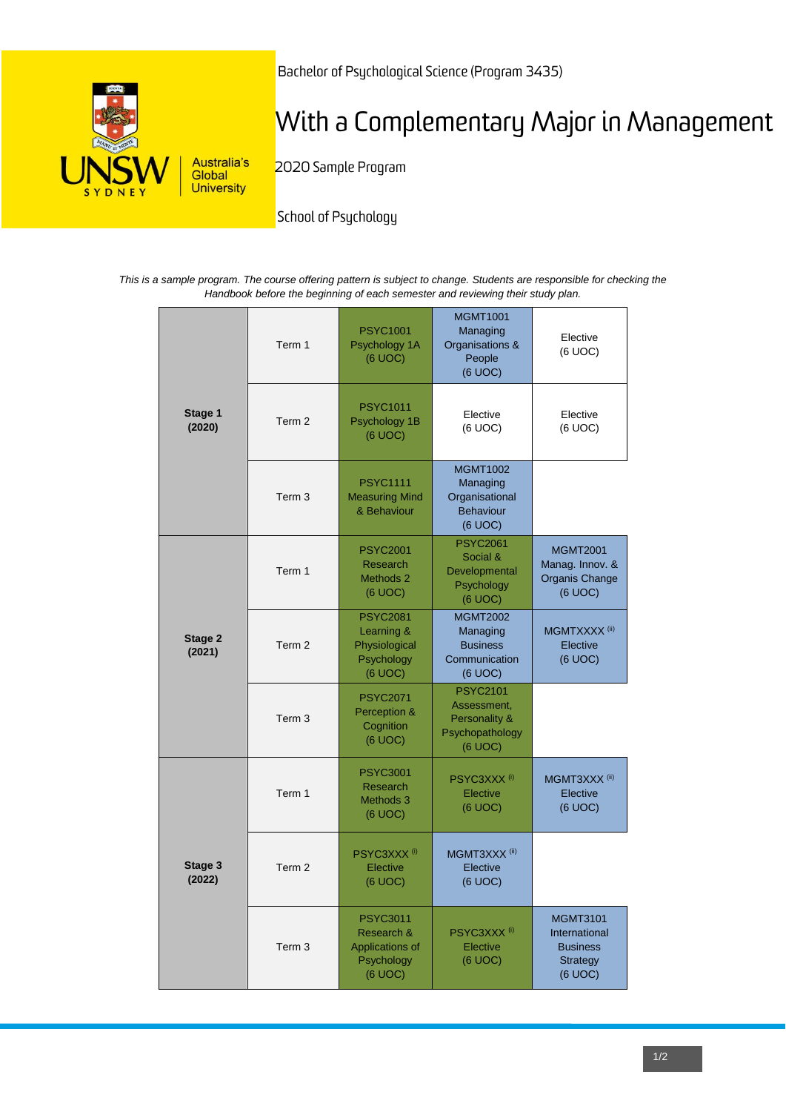

Bachelor of Psychological Science (Program 3435)

# With a Complementary Major in Management

2020 Sample Program

School of Psychology

*This is a sample program. The course offering pattern is subject to change. Students are responsible for checking the Handbook before the beginning of each semester and reviewing their study plan.*

| Stage 1<br>(2020) | Term 1            | <b>PSYC1001</b><br>Psychology 1A<br>(6 UOC)                               | <b>MGMT1001</b><br>Managing<br>Organisations &<br>People<br>(6 UOC)           | Elective<br>(6 UOC)                                                               |
|-------------------|-------------------|---------------------------------------------------------------------------|-------------------------------------------------------------------------------|-----------------------------------------------------------------------------------|
|                   | Term 2            | <b>PSYC1011</b><br>Psychology 1B<br>(6 UOC)                               | Elective<br>(6 UOC)                                                           | Elective<br>(6 UOC)                                                               |
|                   | Term <sub>3</sub> | <b>PSYC1111</b><br><b>Measuring Mind</b><br>& Behaviour                   | <b>MGMT1002</b><br>Managing<br>Organisational<br><b>Behaviour</b><br>(6 UOC)  |                                                                                   |
| Stage 2<br>(2021) | Term 1            | <b>PSYC2001</b><br><b>Research</b><br>Methods 2<br>(6 UOC)                | <b>PSYC2061</b><br>Social &<br>Developmental<br>Psychology<br>(6 UOC)         | <b>MGMT2001</b><br>Manag. Innov. &<br><b>Organis Change</b><br>(6 UOC)            |
|                   | Term 2            | <b>PSYC2081</b><br>Learning &<br>Physiological<br>Psychology<br>(6 UOC)   | <b>MGMT2002</b><br>Managing<br><b>Business</b><br>Communication<br>(6 UOC)    | MGMTXXXX <sup>(ii)</sup><br>Elective<br>(6 UOC)                                   |
|                   | Term <sub>3</sub> | <b>PSYC2071</b><br>Perception &<br>Cognition<br>(6 UOC)                   | <b>PSYC2101</b><br>Assessment,<br>Personality &<br>Psychopathology<br>(6 UOC) |                                                                                   |
| Stage 3<br>(2022) | Term 1            | <b>PSYC3001</b><br>Research<br>Methods 3<br>(6 UOC)                       | PSYC3XXX <sup>(i)</sup><br>Elective<br>(6 UOC)                                | MGMT3XXX <sup>(ii)</sup><br>Elective<br>(6 UOC)                                   |
|                   | Term <sub>2</sub> | PSYC3XXX <sup>(i)</sup><br>Elective<br>(6 UOC)                            | MGMT3XXX <sup>(ii)</sup><br>Elective<br>(6 UOC)                               |                                                                                   |
|                   | Term <sub>3</sub> | <b>PSYC3011</b><br>Research &<br>Applications of<br>Psychology<br>(6 UOC) | PSYC3XXX <sup>(i)</sup><br>Elective<br>(6 UOC)                                | <b>MGMT3101</b><br>International<br><b>Business</b><br><b>Strategy</b><br>(6 UOC) |